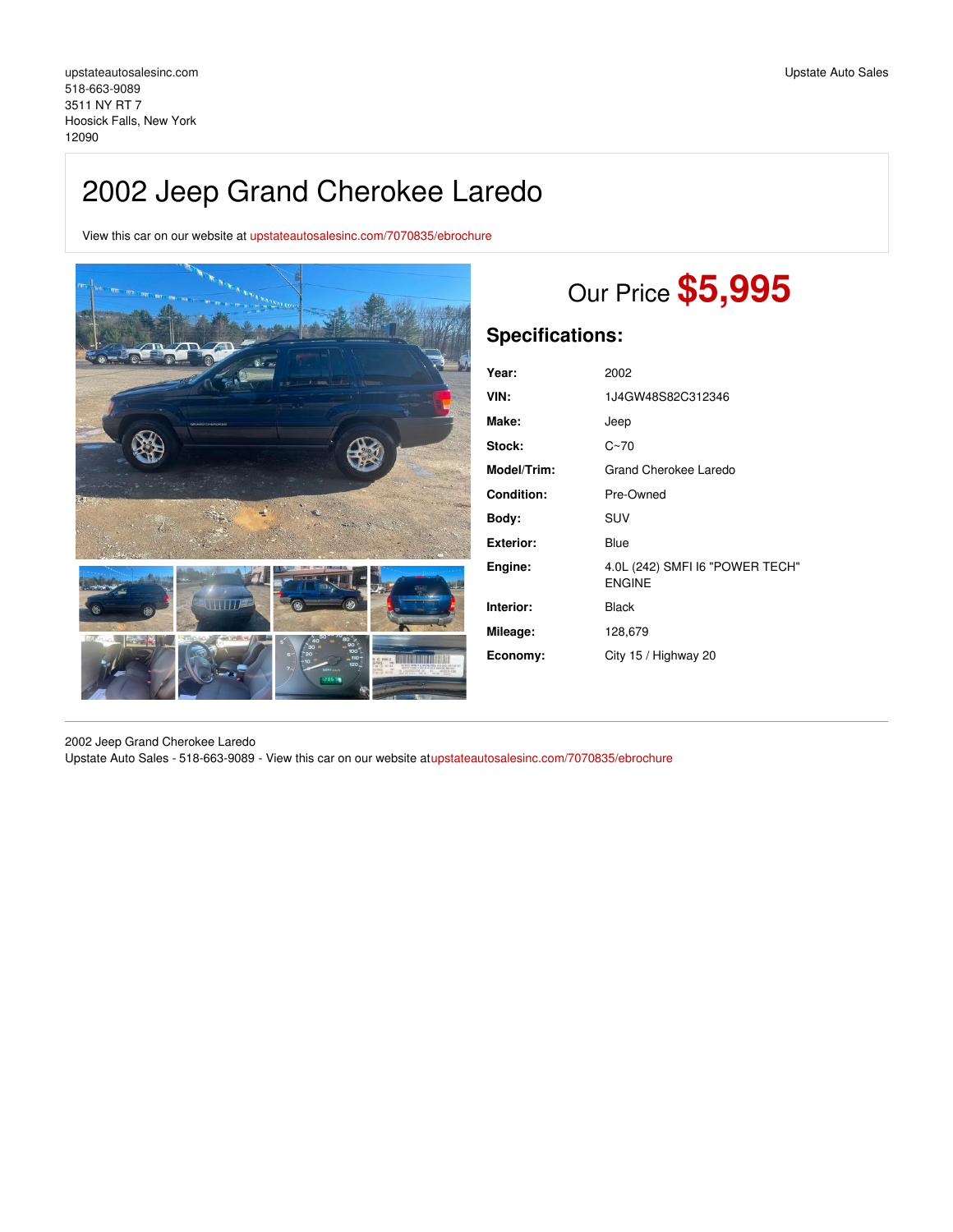View this car on our website at [upstateautosalesinc.com/7070835/ebrochure](https://upstateautosalesinc.com/vehicle/7070835/2002-jeep-grand-cherokee-laredo-hoosick-falls-new-york-12090/7070835/ebrochure)



# Our Price **\$5,995**

# **Specifications:**

| Year:              | 2002                                             |
|--------------------|--------------------------------------------------|
| VIN:               | 1J4GW48S82C312346                                |
| Make:              | Jeep                                             |
| <b>Stock:</b>      | $C - 70$                                         |
| <b>Model/Trim:</b> | Grand Cherokee Laredo                            |
| <b>Condition:</b>  | Pre-Owned                                        |
| Body:              | <b>SUV</b>                                       |
| Exterior:          | Blue                                             |
| Engine:            | 4.0L (242) SMFI I6 "POWER TECH"<br><b>ENGINE</b> |
| Interior:          | <b>Black</b>                                     |
| Mileage:           | 128,679                                          |
| Economy:           | City 15 / Highway 20                             |
|                    |                                                  |

2002 Jeep Grand Cherokee Laredo Upstate Auto Sales - 518-663-9089 - View this car on our website a[tupstateautosalesinc.com/7070835/ebrochure](https://upstateautosalesinc.com/vehicle/7070835/2002-jeep-grand-cherokee-laredo-hoosick-falls-new-york-12090/7070835/ebrochure)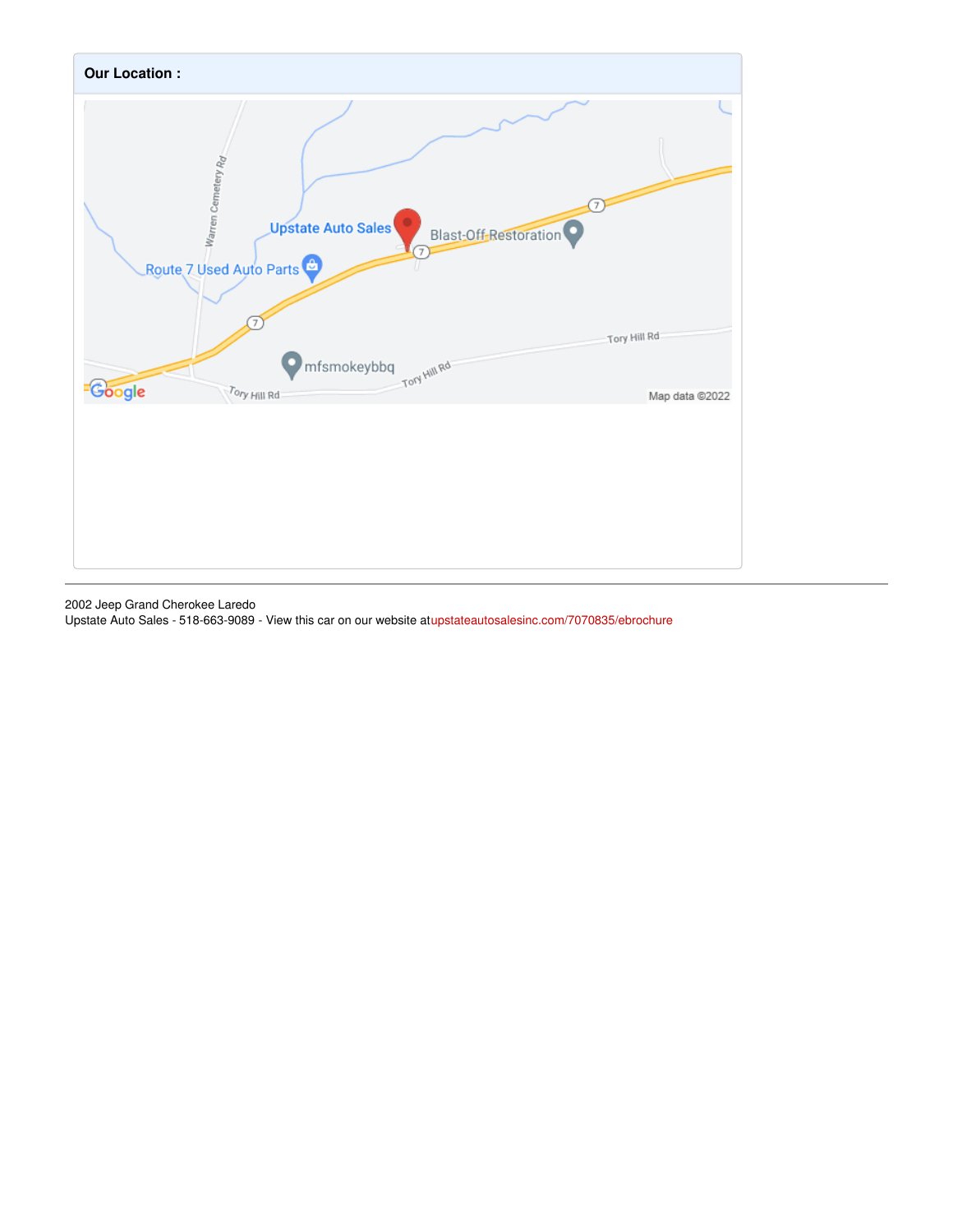

2002 Jeep Grand Cherokee Laredo

Upstate Auto Sales - 518-663-9089 - View this car on our website a[tupstateautosalesinc.com/7070835/ebrochure](https://upstateautosalesinc.com/vehicle/7070835/2002-jeep-grand-cherokee-laredo-hoosick-falls-new-york-12090/7070835/ebrochure)